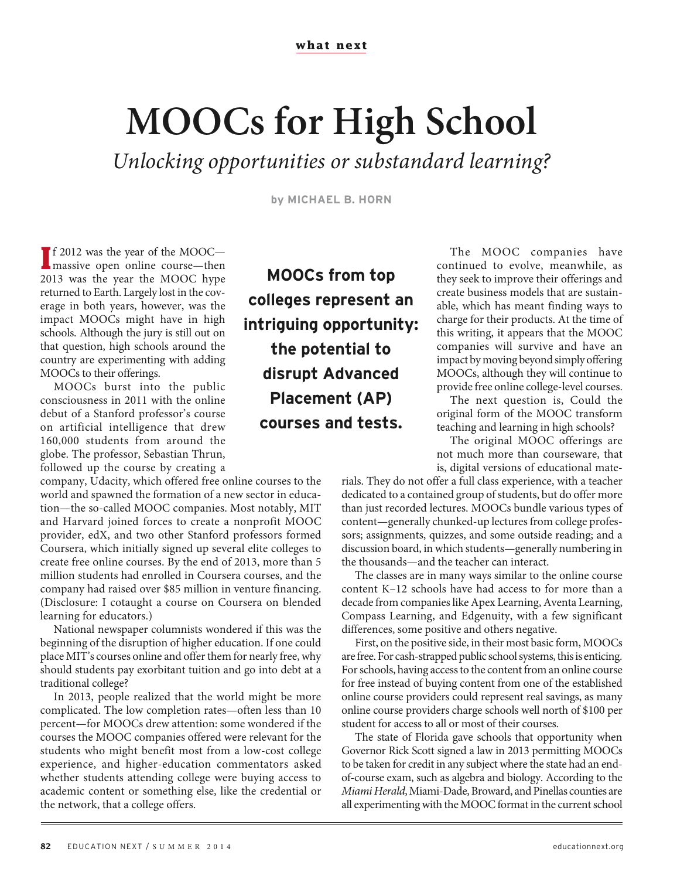## **MOOCs for High School**

Unlocking opportunities or substandard learning?

**by MICHAEL B. HORN**

**I** massive open online course—then f 2012 was the year of the MOOC— 2013 was the year the MOOC hype returned to Earth. Largely lost in the coverage in both years, however, was the impact MOOCs might have in high schools. Although the jury is still out on that question, high schools around the country are experimenting with adding MOOCs to their offerings.

MOOCs burst into the public consciousness in 2011 with the online debut of a Stanford professor's course on artificial intelligence that drew 160,000 students from around the globe. The professor, Sebastian Thrun, followed up the course by creating a

company, Udacity, which offered free online courses to the world and spawned the formation of a new sector in education—the so-called MOOC companies. Most notably, MIT and Harvard joined forces to create a nonprofit MOOC provider, edX, and two other Stanford professors formed Coursera, which initially signed up several elite colleges to create free online courses. By the end of 2013, more than 5 million students had enrolled in Coursera courses, and the company had raised over \$85 million in venture financing. (Disclosure: I cotaught a course on Coursera on blended learning for educators.)

National newspaper columnists wondered if this was the beginning of the disruption of higher education. If one could place MIT's courses online and offer them for nearly free, why should students pay exorbitant tuition and go into debt at a traditional college?

In 2013, people realized that the world might be more complicated. The low completion rates—often less than 10 percent—for MOOCs drew attention: some wondered if the courses the MOOC companies offered were relevant for the students who might benefit most from a low-cost college experience, and higher-education commentators asked whether students attending college were buying access to academic content or something else, like the credential or the network, that a college offers.

**MOOCs from top colleges represent an intriguing opportunity: the potential to disrupt Advanced Placement (AP) courses and tests.**

The MOOC companies have continued to evolve, meanwhile, as they seek to improve their offerings and create business models that are sustainable, which has meant finding ways to charge for their products. At the time of this writing, it appears that the MOOC companies will survive and have an impact by moving beyond simply offering MOOCs, although they will continue to provide free online college-level courses.

The next question is, Could the original form of the MOOC transform teaching and learning in high schools?

The original MOOC offerings are not much more than courseware, that is, digital versions of educational mate-

rials. They do not offer a full class experience, with a teacher dedicated to a contained group of students, but do offer more than just recorded lectures. MOOCs bundle various types of content—generally chunked-up lectures from college professors; assignments, quizzes, and some outside reading; and a discussion board, in which students—generally numbering in the thousands—and the teacher can interact.

The classes are in many ways similar to the online course content K–12 schools have had access to for more than a decade from companies like Apex Learning, Aventa Learning, Compass Learning, and Edgenuity, with a few significant differences, some positive and others negative.

First, on the positive side, in their most basic form, MOOCs are free. For cash-strapped public school systems, this is enticing. For schools, having access to the content from an online course for free instead of buying content from one of the established online course providers could represent real savings, as many online course providers charge schools well north of \$100 per student for access to all or most of their courses.

The state of Florida gave schools that opportunity when Governor Rick Scott signed a law in 2013 permitting MOOCs to be taken for credit in any subject where the state had an endof-course exam, such as algebra and biology. According to the Miami Herald, Miami-Dade, Broward, and Pinellas counties are all experimenting with the MOOC format in the current school